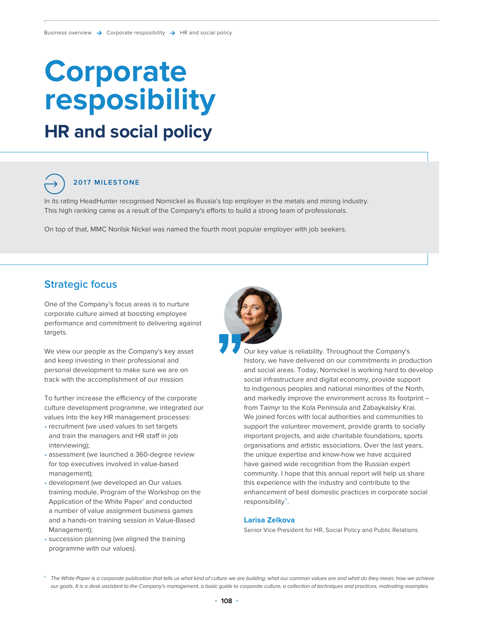# **HR and social policy Corporate resposibility**

# **2017 MILESTONE**

In its rating HeadHunter recognised Nornickel as Russia's top employer in the metals and mining industry. This high ranking came as a result of the Company's efforts to build a strong team of professionals.

On top of that, MMC Norilsk Nickel was named the fourth most popular employer with job seekers.

### **Strategic focus**

One of the Company's focus areas is to nurture corporate culture aimed at boosting employee performance and commitment to delivering against targets.

We view our people as the Company's key asset and keep investing in their professional and personal development to make sure we are on track with the accomplishment of our mission.

To further increase the efficiency of the corporate culture development programme, we integrated our values into the key HR management processes:

- recruitment (we used values to set targets and train the managers and HR staff in job interviewing);
- assessment (we launched a 360-degree review for top executives involved in value-based management);
- development (we developed an Our values training module, Program of the Workshop on the Application of the White Paper<sup>1</sup> and conducted a number of value assignment business games and a hands-on training session in Value-Based Management);
- succession planning (we aligned the training programme with our values).



history, we have delivered on our commitments in production and social areas. Today, Nornickel is working hard to develop social infrastructure and digital economy, provide support to indigenous peoples and national minorities of the North, and markedly improve the environment across its footprint – from Taimyr to the Kola Peninsula and Zabaykalsky Krai. We joined forces with local authorities and communities to support the volunteer movement, provide grants to socially important projects, and aide charitable foundations, sports organisations and artistic associations. Over the last years, the unique expertise and know-how we have acquired have gained wide recognition from the Russian expert community. I hope that this annual report will help us share this experience with the industry and contribute to the enhancement of best domestic practices in corporate social responsibility".

#### **Larisa Zelkova**

Senior Vice President for HR, Social Policy and Public Relations

**<sup>1</sup>** The White Paper is a corporate publication that tells us what kind of culture we are building; what our common values are and what do they mean; how we achieve our goals. It is a desk assistant to the Company's management, a basic guide to corporate culture, a collection of techniques and practices, motivating examples.